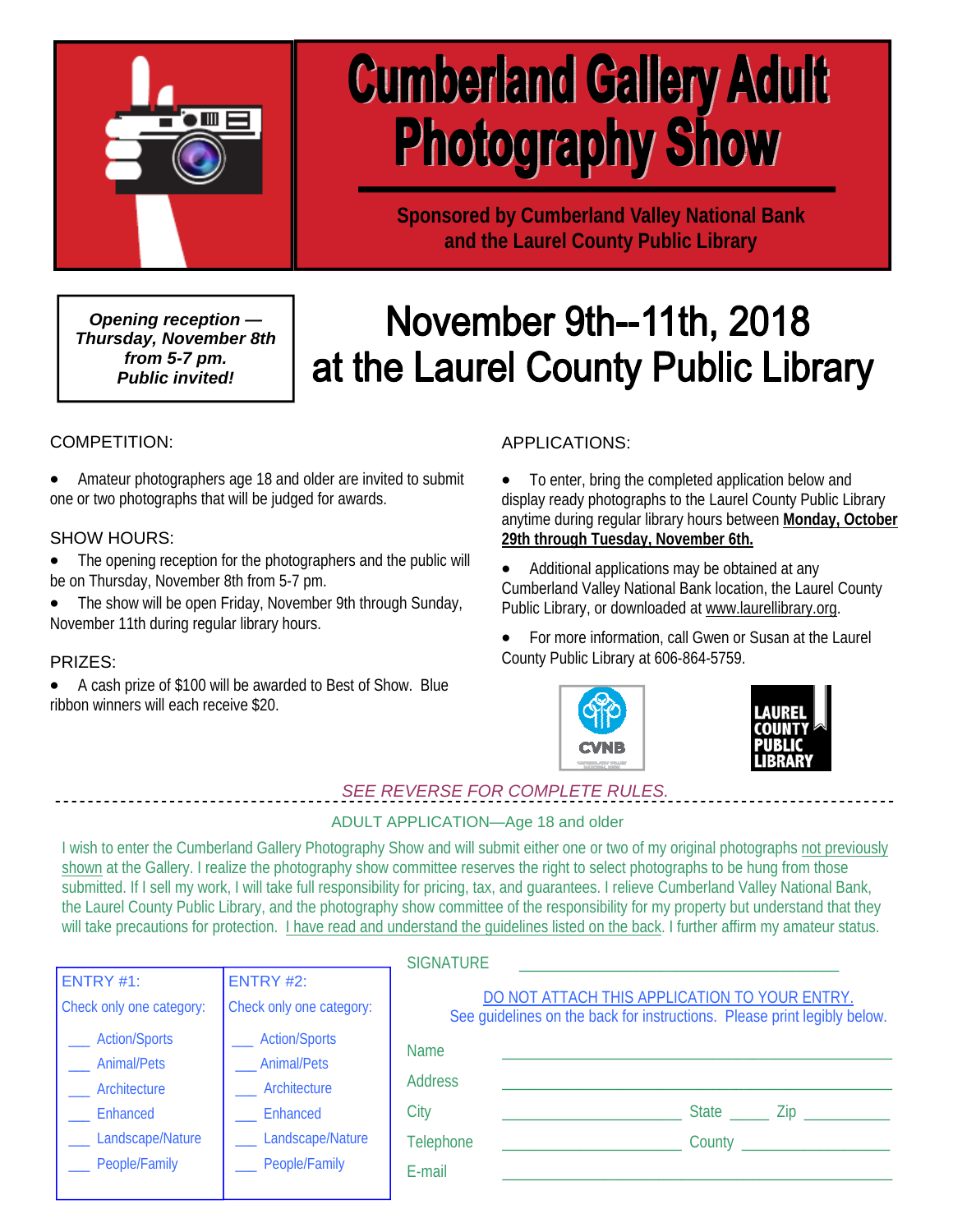

# **Cumberland Gallery Adult Photography Show**

**Sponsored by Cumberland Valley National Bank and the Laurel County Public Library** 

*Opening reception — Thursday, November 8th from 5-7 pm. Public invited!* 

## November 9th--11th, 2018 at the Laurel County Public Library

#### COMPETITION:

 Amateur photographers age 18 and older are invited to submit one or two photographs that will be judged for awards.

#### SHOW HOURS:

- The opening reception for the photographers and the public will be on Thursday, November 8th from 5-7 pm.
- The show will be open Friday, November 9th through Sunday, November 11th during regular library hours.

#### PRIZES:

 A cash prize of \$100 will be awarded to Best of Show. Blue ribbon winners will each receive \$20.

#### APPLICATIONS:

 To enter, bring the completed application below and display ready photographs to the Laurel County Public Library anytime during regular library hours between **Monday, October 29th through Tuesday, November 6th.**

- Additional applications may be obtained at any Cumberland Valley National Bank location, the Laurel County Public Library, or downloaded at www.laurellibrary.org.
- For more information, call Gwen or Susan at the Laurel County Public Library at 606-864-5759.





*SEE REVERSE FOR COMPLETE RULES.* 

#### ADULT APPLICATION—Age 18 and older

I wish to enter the Cumberland Gallery Photography Show and will submit either one or two of my original photographs not previously shown at the Gallery. I realize the photography show committee reserves the right to select photographs to be hung from those submitted. If I sell my work, I will take full responsibility for pricing, tax, and guarantees. I relieve Cumberland Valley National Bank, the Laurel County Public Library, and the photography show committee of the responsibility for my property but understand that they will take precautions for protection. I have read and understand the guidelines listed on the back. I further affirm my amateur status.

|                          |                          | <b>SIGNATURE</b>                                                                                                          |  |        |                                |
|--------------------------|--------------------------|---------------------------------------------------------------------------------------------------------------------------|--|--------|--------------------------------|
| ENTRY $#1$ :             | <b>ENTRY #2:</b>         |                                                                                                                           |  |        |                                |
| Check only one category: | Check only one category: | DO NOT ATTACH THIS APPLICATION TO YOUR ENTRY.<br>See guidelines on the back for instructions. Please print legibly below. |  |        |                                |
| <b>Action/Sports</b>     | <b>Action/Sports</b>     | <b>Name</b>                                                                                                               |  |        |                                |
| <b>Animal/Pets</b>       | _Animal/Pets             |                                                                                                                           |  |        |                                |
| <b>Architecture</b>      | Architecture             | <b>Address</b>                                                                                                            |  |        |                                |
| Enhanced                 | Enhanced                 | City                                                                                                                      |  |        | State _______ Zip ____________ |
| ___ Landscape/Nature     | Landscape/Nature         | Telephone                                                                                                                 |  | County |                                |
| __ People/Family         | People/Family            | E-mail                                                                                                                    |  |        |                                |
|                          |                          |                                                                                                                           |  |        |                                |